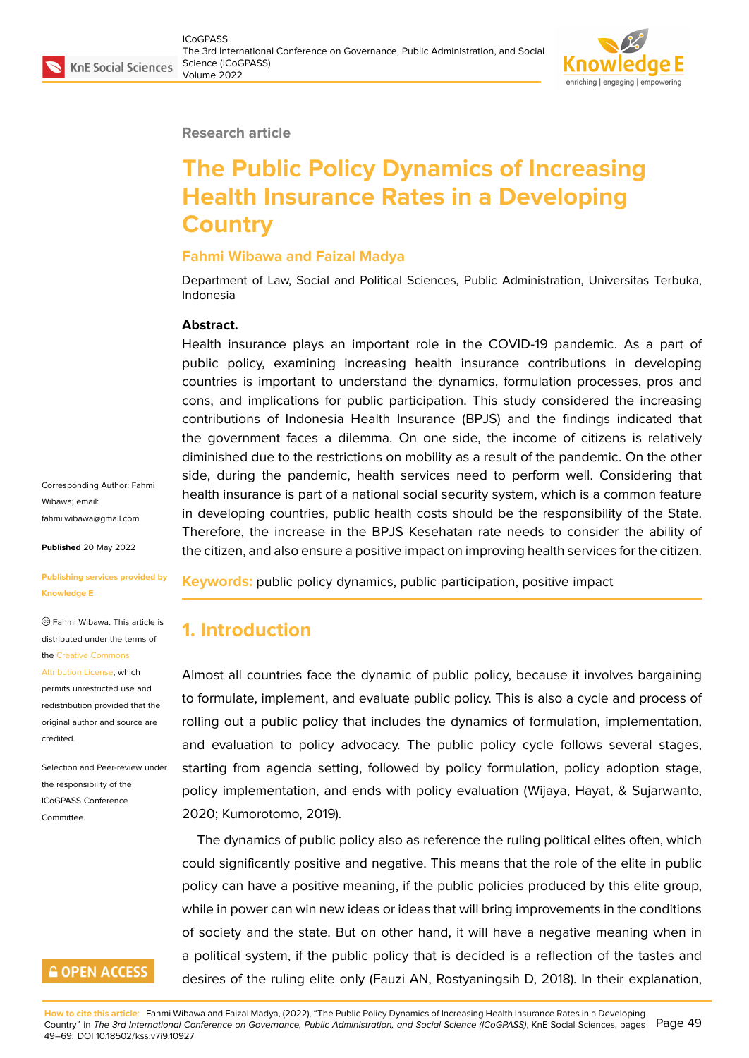#### **Research article**

# **The Public Policy Dynamics of Increasing Health Insurance Rates in a Developing Country**

#### **Fahmi Wibawa and Faizal Madya**

Department of Law, Social and Political Sciences, Public Administration, Universitas Terbuka, Indonesia

#### **Abstract.**

Health insurance plays an important role in the COVID-19 pandemic. As a part of public policy, examining increasing health insurance contributions in developing countries is important to understand the dynamics, formulation processes, pros and cons, and implications for public participation. This study considered the increasing contributions of Indonesia Health Insurance (BPJS) and the findings indicated that the government faces a dilemma. On one side, the income of citizens is relatively diminished due to the restrictions on mobility as a result of the pandemic. On the other side, during the pandemic, health services need to perform well. Considering that health insurance is part of a national social security system, which is a common feature in developing countries, public health costs should be the responsibility of the State. Therefore, the increase in the BPJS Kesehatan rate needs to consider the ability of the citizen, and also ensure a positive impact on improving health services for the citizen.

Corresponding Author: Fahmi Wibawa; email: fahmi.wibawa@gmail.com

**Published** 20 May 2022

#### **[Publishing services provi](mailto:fahmi.wibawa@gmail.com)ded by Knowledge E**

Fahmi Wibawa. This article is distributed under the terms of the Creative Commons

Attribution License, which

permits unrestricted use and redistribution provided that the orig[inal author and sou](https://creativecommons.org/licenses/by/4.0/)rce are [credited.](https://creativecommons.org/licenses/by/4.0/)

Selection and Peer-review under the responsibility of the ICoGPASS Conference **Committee** 

# **GOPEN ACCESS**

**Keywords:** public policy dynamics, public participation, positive impact

# **1. Introduction**

Almost all countries face the dynamic of public policy, because it involves bargaining to formulate, implement, and evaluate public policy. This is also a cycle and process of rolling out a public policy that includes the dynamics of formulation, implementation, and evaluation to policy advocacy. The public policy cycle follows several stages, starting from agenda setting, followed by policy formulation, policy adoption stage, policy implementation, and ends with policy evaluation (Wijaya, Hayat, & Sujarwanto, 2020; Kumorotomo, 2019).

The dynamics of public policy also as reference the ruling political elites often, which could significantly positive and negative. This means that the role of the elite in public policy can have a positive meaning, if the public policies produced by this elite group, while in power can win new ideas or ideas that will bring improvements in the conditions of society and the state. But on other hand, it will have a negative meaning when in a political system, if the public policy that is decided is a reflection of the tastes and desires of the ruling elite only (Fauzi AN, Rostyaningsih D, 2018). In their explanation,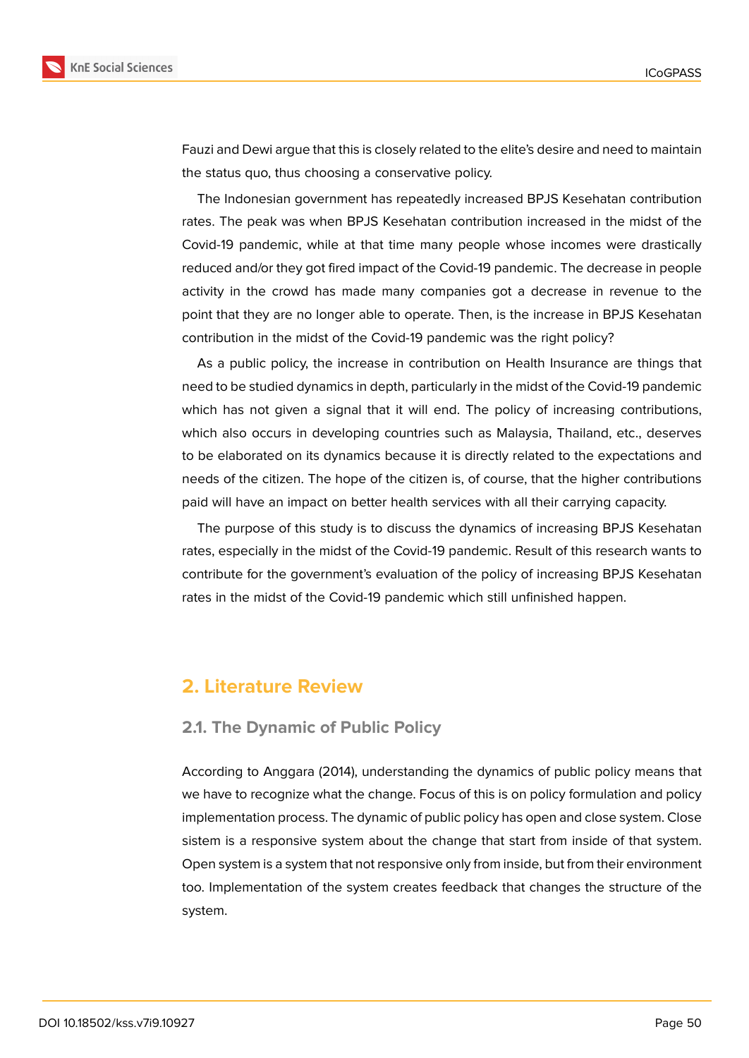

Fauzi and Dewi argue that this is closely related to the elite's desire and need to maintain the status quo, thus choosing a conservative policy.

The Indonesian government has repeatedly increased BPJS Kesehatan contribution rates. The peak was when BPJS Kesehatan contribution increased in the midst of the Covid-19 pandemic, while at that time many people whose incomes were drastically reduced and/or they got fired impact of the Covid-19 pandemic. The decrease in people activity in the crowd has made many companies got a decrease in revenue to the point that they are no longer able to operate. Then, is the increase in BPJS Kesehatan contribution in the midst of the Covid-19 pandemic was the right policy?

As a public policy, the increase in contribution on Health Insurance are things that need to be studied dynamics in depth, particularly in the midst of the Covid-19 pandemic which has not given a signal that it will end. The policy of increasing contributions, which also occurs in developing countries such as Malaysia, Thailand, etc., deserves to be elaborated on its dynamics because it is directly related to the expectations and needs of the citizen. The hope of the citizen is, of course, that the higher contributions paid will have an impact on better health services with all their carrying capacity.

The purpose of this study is to discuss the dynamics of increasing BPJS Kesehatan rates, especially in the midst of the Covid-19 pandemic. Result of this research wants to contribute for the government's evaluation of the policy of increasing BPJS Kesehatan rates in the midst of the Covid-19 pandemic which still unfinished happen.

# **2. Literature Review**

#### **2.1. The Dynamic of Public Policy**

According to Anggara (2014), understanding the dynamics of public policy means that we have to recognize what the change. Focus of this is on policy formulation and policy implementation process. The dynamic of public policy has open and close system. Close sistem is a responsive system about the change that start from inside of that system. Open system is a system that not responsive only from inside, but from their environment too. Implementation of the system creates feedback that changes the structure of the system.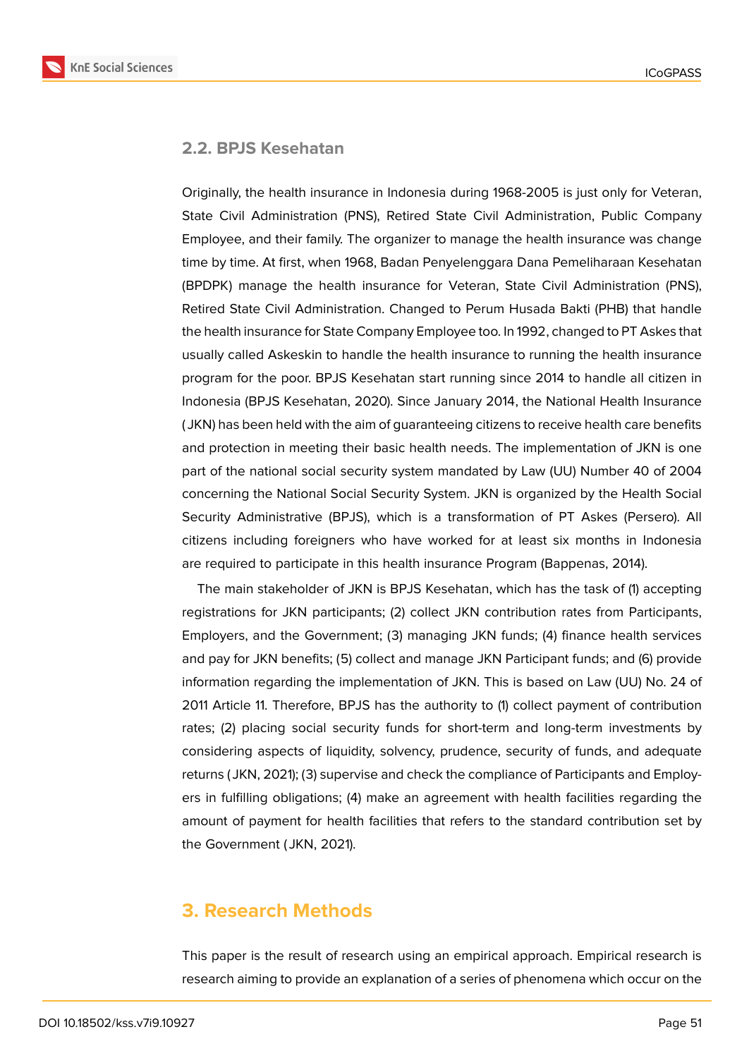### **2.2. BPJS Kesehatan**

Originally, the health insurance in Indonesia during 1968-2005 is just only for Veteran, State Civil Administration (PNS), Retired State Civil Administration, Public Company Employee, and their family. The organizer to manage the health insurance was change time by time. At first, when 1968, Badan Penyelenggara Dana Pemeliharaan Kesehatan (BPDPK) manage the health insurance for Veteran, State Civil Administration (PNS), Retired State Civil Administration. Changed to Perum Husada Bakti (PHB) that handle the health insurance for State Company Employee too. In 1992, changed to PT Askes that usually called Askeskin to handle the health insurance to running the health insurance program for the poor. BPJS Kesehatan start running since 2014 to handle all citizen in Indonesia (BPJS Kesehatan, 2020). Since January 2014, the National Health Insurance ( JKN) has been held with the aim of guaranteeing citizens to receive health care benefits and protection in meeting their basic health needs. The implementation of JKN is one part of the national social security system mandated by Law (UU) Number 40 of 2004 concerning the National Social Security System. JKN is organized by the Health Social Security Administrative (BPJS), which is a transformation of PT Askes (Persero). All citizens including foreigners who have worked for at least six months in Indonesia are required to participate in this health insurance Program (Bappenas, 2014).

The main stakeholder of JKN is BPJS Kesehatan, which has the task of (1) accepting registrations for JKN participants; (2) collect JKN contribution rates from Participants, Employers, and the Government; (3) managing JKN funds; (4) finance health services and pay for JKN benefits; (5) collect and manage JKN Participant funds; and (6) provide information regarding the implementation of JKN. This is based on Law (UU) No. 24 of 2011 Article 11. Therefore, BPJS has the authority to (1) collect payment of contribution rates; (2) placing social security funds for short-term and long-term investments by considering aspects of liquidity, solvency, prudence, security of funds, and adequate returns ( JKN, 2021); (3) supervise and check the compliance of Participants and Employers in fulfilling obligations; (4) make an agreement with health facilities regarding the amount of payment for health facilities that refers to the standard contribution set by the Government ( JKN, 2021).

# **3. Research Methods**

This paper is the result of research using an empirical approach. Empirical research is research aiming to provide an explanation of a series of phenomena which occur on the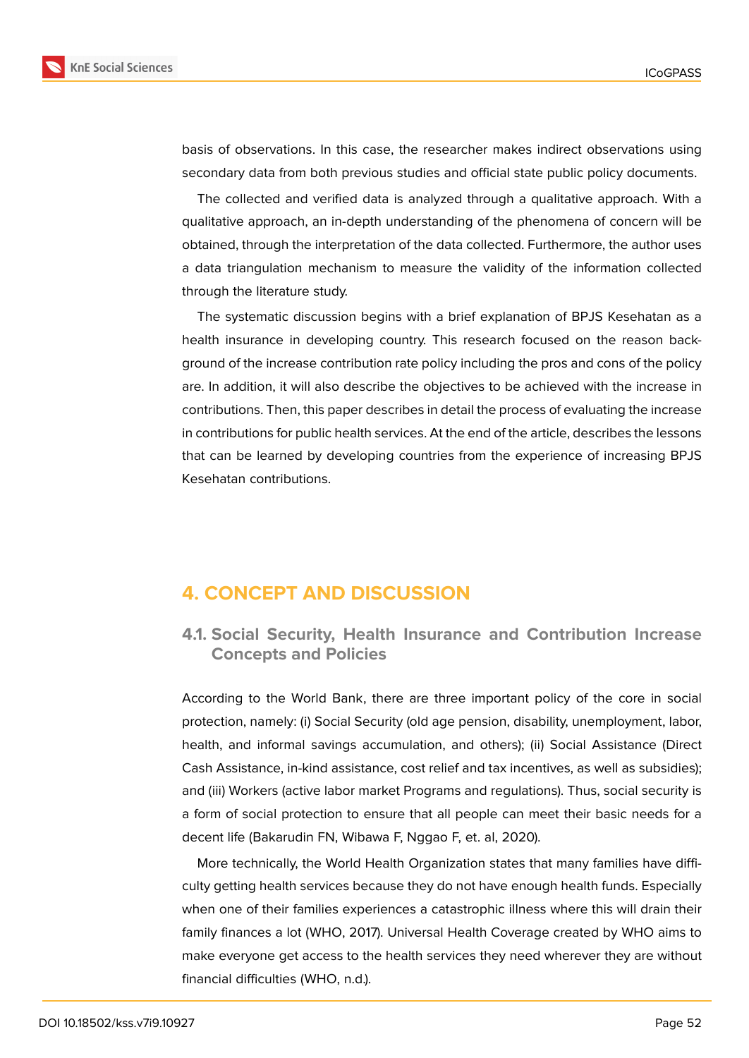

basis of observations. In this case, the researcher makes indirect observations using secondary data from both previous studies and official state public policy documents.

The collected and verified data is analyzed through a qualitative approach. With a qualitative approach, an in-depth understanding of the phenomena of concern will be obtained, through the interpretation of the data collected. Furthermore, the author uses a data triangulation mechanism to measure the validity of the information collected through the literature study.

The systematic discussion begins with a brief explanation of BPJS Kesehatan as a health insurance in developing country. This research focused on the reason background of the increase contribution rate policy including the pros and cons of the policy are. In addition, it will also describe the objectives to be achieved with the increase in contributions. Then, this paper describes in detail the process of evaluating the increase in contributions for public health services. At the end of the article, describes the lessons that can be learned by developing countries from the experience of increasing BPJS Kesehatan contributions.

# **4. CONCEPT AND DISCUSSION**

**4.1. Social Security, Health Insurance and Contribution Increase Concepts and Policies**

According to the World Bank, there are three important policy of the core in social protection, namely: (i) Social Security (old age pension, disability, unemployment, labor, health, and informal savings accumulation, and others); (ii) Social Assistance (Direct Cash Assistance, in-kind assistance, cost relief and tax incentives, as well as subsidies); and (iii) Workers (active labor market Programs and regulations). Thus, social security is a form of social protection to ensure that all people can meet their basic needs for a decent life (Bakarudin FN, Wibawa F, Nggao F, et. al, 2020).

More technically, the World Health Organization states that many families have difficulty getting health services because they do not have enough health funds. Especially when one of their families experiences a catastrophic illness where this will drain their family finances a lot (WHO, 2017). Universal Health Coverage created by WHO aims to make everyone get access to the health services they need wherever they are without financial difficulties (WHO, n.d.).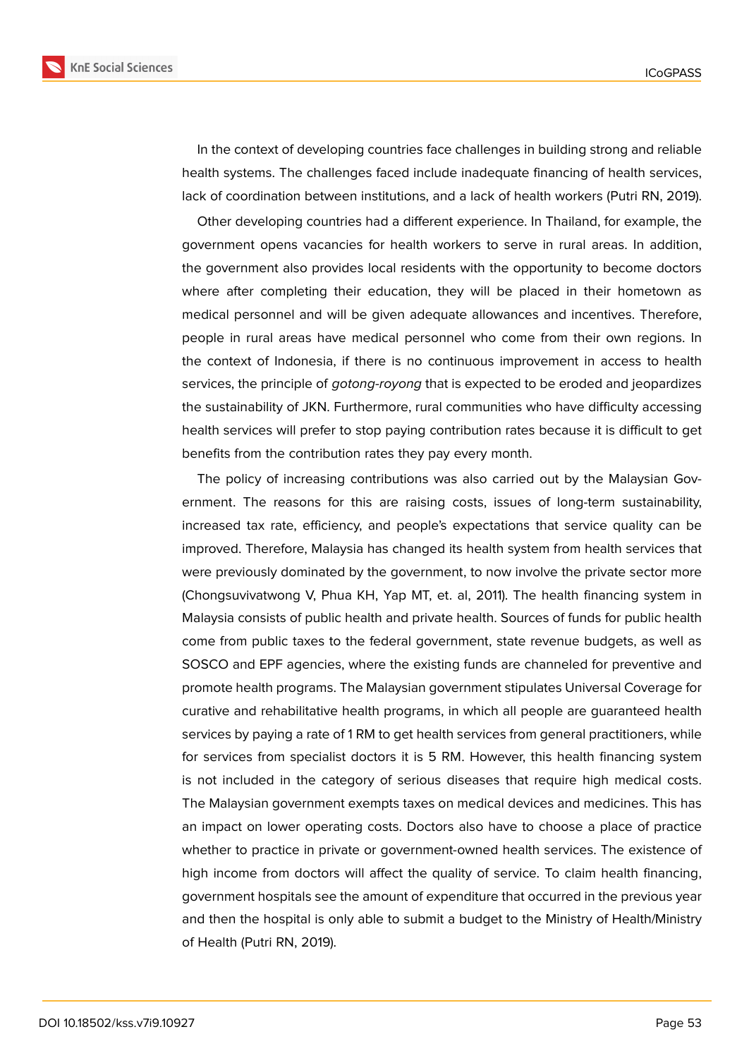

In the context of developing countries face challenges in building strong and reliable health systems. The challenges faced include inadequate financing of health services, lack of coordination between institutions, and a lack of health workers (Putri RN, 2019).

Other developing countries had a different experience. In Thailand, for example, the government opens vacancies for health workers to serve in rural areas. In addition, the government also provides local residents with the opportunity to become doctors where after completing their education, they will be placed in their hometown as medical personnel and will be given adequate allowances and incentives. Therefore, people in rural areas have medical personnel who come from their own regions. In the context of Indonesia, if there is no continuous improvement in access to health services, the principle of *gotong-royong* that is expected to be eroded and jeopardizes the sustainability of JKN. Furthermore, rural communities who have difficulty accessing health services will prefer to stop paying contribution rates because it is difficult to get benefits from the contribution rates they pay every month.

The policy of increasing contributions was also carried out by the Malaysian Government. The reasons for this are raising costs, issues of long-term sustainability, increased tax rate, efficiency, and people's expectations that service quality can be improved. Therefore, Malaysia has changed its health system from health services that were previously dominated by the government, to now involve the private sector more (Chongsuvivatwong V, Phua KH, Yap MT, et. al, 2011). The health financing system in Malaysia consists of public health and private health. Sources of funds for public health come from public taxes to the federal government, state revenue budgets, as well as SOSCO and EPF agencies, where the existing funds are channeled for preventive and promote health programs. The Malaysian government stipulates Universal Coverage for curative and rehabilitative health programs, in which all people are guaranteed health services by paying a rate of 1 RM to get health services from general practitioners, while for services from specialist doctors it is 5 RM. However, this health financing system is not included in the category of serious diseases that require high medical costs. The Malaysian government exempts taxes on medical devices and medicines. This has an impact on lower operating costs. Doctors also have to choose a place of practice whether to practice in private or government-owned health services. The existence of high income from doctors will affect the quality of service. To claim health financing, government hospitals see the amount of expenditure that occurred in the previous year and then the hospital is only able to submit a budget to the Ministry of Health/Ministry of Health (Putri RN, 2019).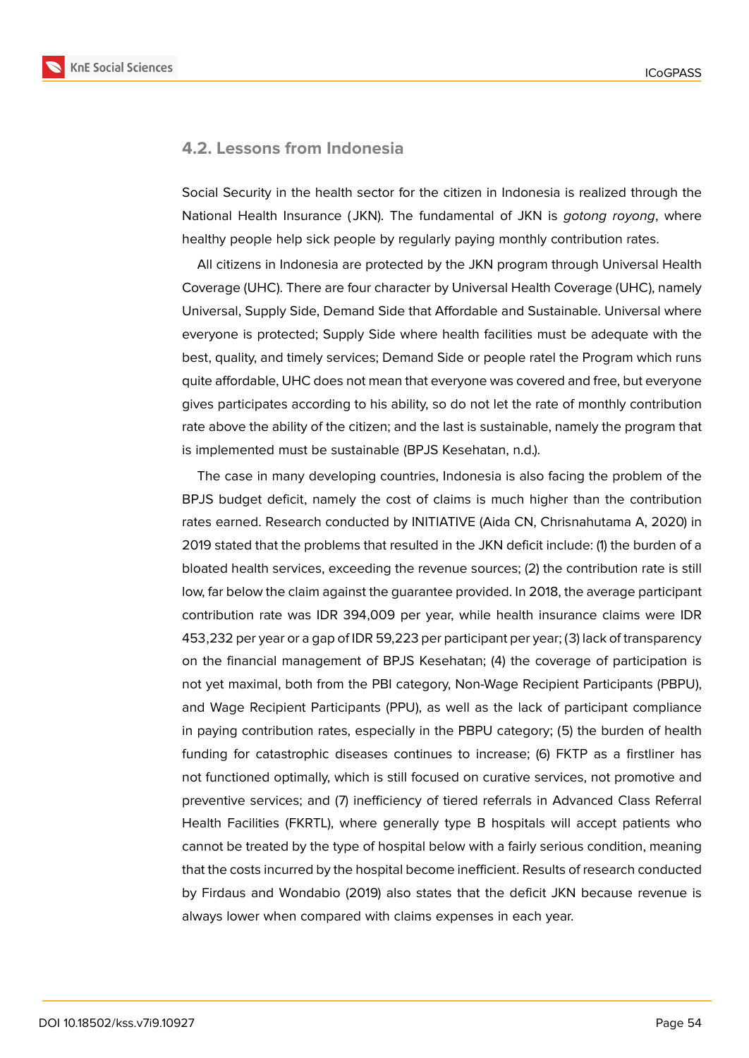

#### **4.2. Lessons from Indonesia**

Social Security in the health sector for the citizen in Indonesia is realized through the National Health Insurance ( JKN). The fundamental of JKN is *gotong royong*, where healthy people help sick people by regularly paying monthly contribution rates.

All citizens in Indonesia are protected by the JKN program through Universal Health Coverage (UHC). There are four character by Universal Health Coverage (UHC), namely Universal, Supply Side, Demand Side that Affordable and Sustainable. Universal where everyone is protected; Supply Side where health facilities must be adequate with the best, quality, and timely services; Demand Side or people ratel the Program which runs quite affordable, UHC does not mean that everyone was covered and free, but everyone gives participates according to his ability, so do not let the rate of monthly contribution rate above the ability of the citizen; and the last is sustainable, namely the program that is implemented must be sustainable (BPJS Kesehatan, n.d.).

The case in many developing countries, Indonesia is also facing the problem of the BPJS budget deficit, namely the cost of claims is much higher than the contribution rates earned. Research conducted by INITIATIVE (Aida CN, Chrisnahutama A, 2020) in 2019 stated that the problems that resulted in the JKN deficit include: (1) the burden of a bloated health services, exceeding the revenue sources; (2) the contribution rate is still low, far below the claim against the guarantee provided. In 2018, the average participant contribution rate was IDR 394,009 per year, while health insurance claims were IDR 453,232 per year or a gap of IDR 59,223 per participant per year; (3) lack of transparency on the financial management of BPJS Kesehatan; (4) the coverage of participation is not yet maximal, both from the PBI category, Non-Wage Recipient Participants (PBPU), and Wage Recipient Participants (PPU), as well as the lack of participant compliance in paying contribution rates, especially in the PBPU category; (5) the burden of health funding for catastrophic diseases continues to increase; (6) FKTP as a firstliner has not functioned optimally, which is still focused on curative services, not promotive and preventive services; and (7) inefficiency of tiered referrals in Advanced Class Referral Health Facilities (FKRTL), where generally type B hospitals will accept patients who cannot be treated by the type of hospital below with a fairly serious condition, meaning that the costs incurred by the hospital become inefficient. Results of research conducted by Firdaus and Wondabio (2019) also states that the deficit JKN because revenue is always lower when compared with claims expenses in each year.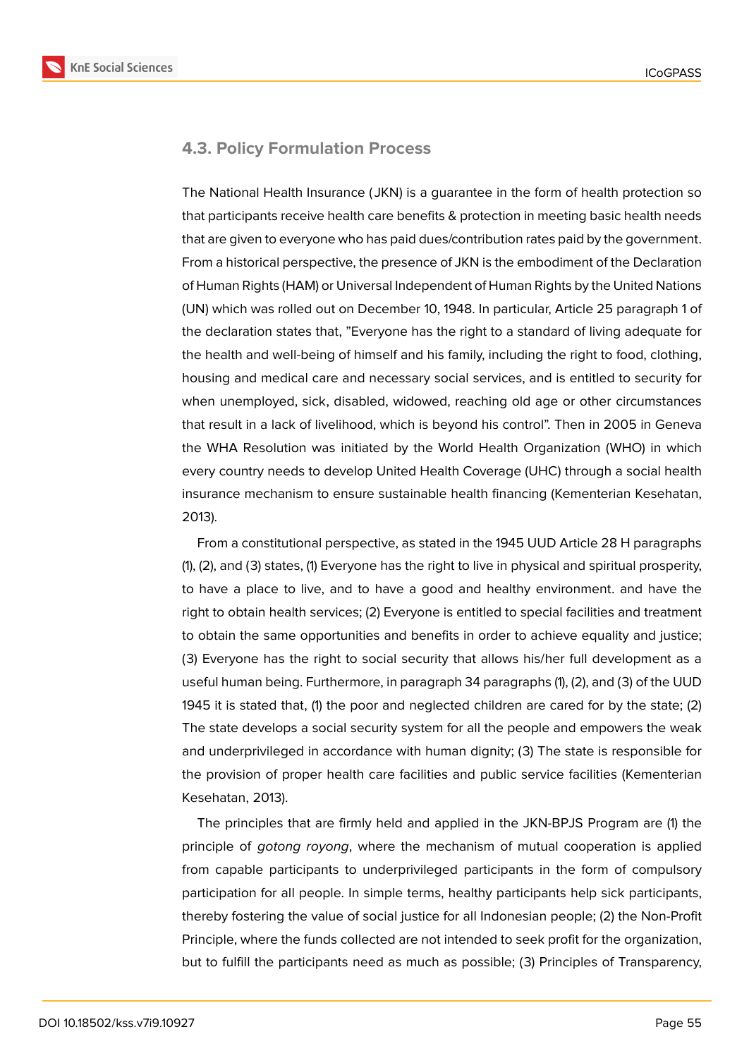

### **4.3. Policy Formulation Process**

The National Health Insurance ( JKN) is a guarantee in the form of health protection so that participants receive health care benefits & protection in meeting basic health needs that are given to everyone who has paid dues/contribution rates paid by the government. From a historical perspective, the presence of JKN is the embodiment of the Declaration of Human Rights (HAM) or Universal Independent of Human Rights by the United Nations (UN) which was rolled out on December 10, 1948. In particular, Article 25 paragraph 1 of the declaration states that, "Everyone has the right to a standard of living adequate for the health and well-being of himself and his family, including the right to food, clothing, housing and medical care and necessary social services, and is entitled to security for when unemployed, sick, disabled, widowed, reaching old age or other circumstances that result in a lack of livelihood, which is beyond his control". Then in 2005 in Geneva the WHA Resolution was initiated by the World Health Organization (WHO) in which every country needs to develop United Health Coverage (UHC) through a social health insurance mechanism to ensure sustainable health financing (Kementerian Kesehatan, 2013).

From a constitutional perspective, as stated in the 1945 UUD Article 28 H paragraphs (1), (2), and (3) states, (1) Everyone has the right to live in physical and spiritual prosperity, to have a place to live, and to have a good and healthy environment. and have the right to obtain health services; (2) Everyone is entitled to special facilities and treatment to obtain the same opportunities and benefits in order to achieve equality and justice; (3) Everyone has the right to social security that allows his/her full development as a useful human being. Furthermore, in paragraph 34 paragraphs (1), (2), and (3) of the UUD 1945 it is stated that, (1) the poor and neglected children are cared for by the state; (2) The state develops a social security system for all the people and empowers the weak and underprivileged in accordance with human dignity; (3) The state is responsible for the provision of proper health care facilities and public service facilities (Kementerian Kesehatan, 2013).

The principles that are firmly held and applied in the JKN-BPJS Program are (1) the principle of *gotong royong*, where the mechanism of mutual cooperation is applied from capable participants to underprivileged participants in the form of compulsory participation for all people. In simple terms, healthy participants help sick participants, thereby fostering the value of social justice for all Indonesian people; (2) the Non-Profit Principle, where the funds collected are not intended to seek profit for the organization, but to fulfill the participants need as much as possible; (3) Principles of Transparency,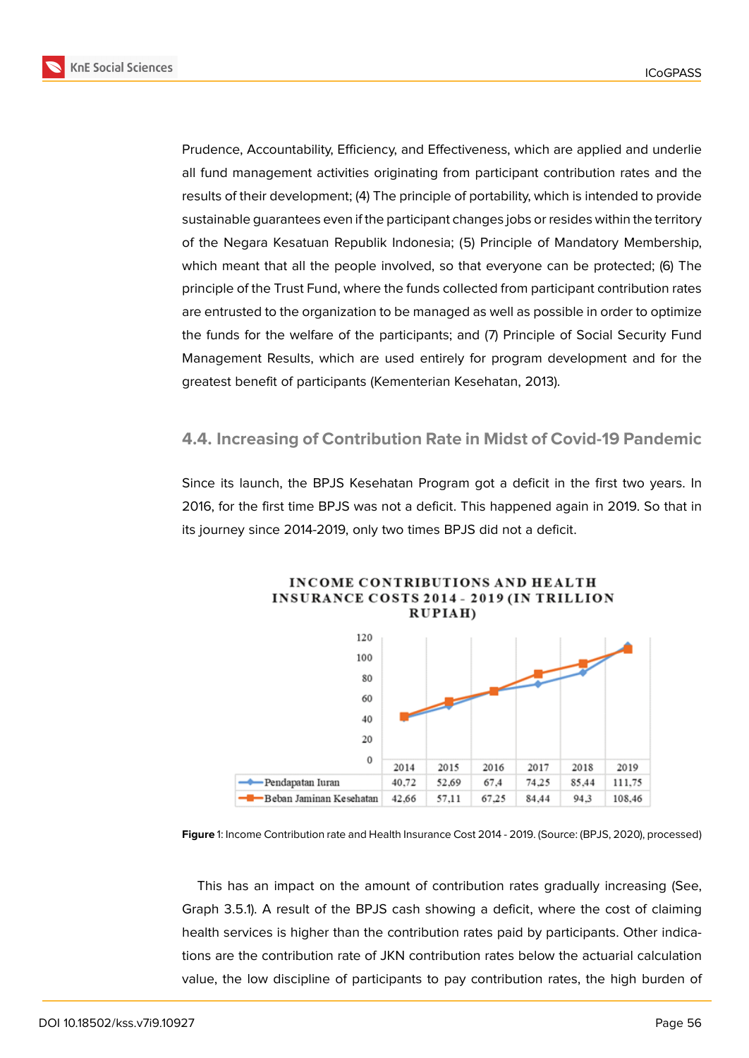



Prudence, Accountability, Efficiency, and Effectiveness, which are applied and underlie all fund management activities originating from participant contribution rates and the results of their development; (4) The principle of portability, which is intended to provide sustainable guarantees even if the participant changes jobs or resides within the territory of the Negara Kesatuan Republik Indonesia; (5) Principle of Mandatory Membership, which meant that all the people involved, so that everyone can be protected; (6) The principle of the Trust Fund, where the funds collected from participant contribution rates are entrusted to the organization to be managed as well as possible in order to optimize the funds for the welfare of the participants; and (7) Principle of Social Security Fund Management Results, which are used entirely for program development and for the greatest benefit of participants (Kementerian Kesehatan, 2013).

#### **4.4. Increasing of Contribution Rate in Midst of Covid-19 Pandemic**

Since its launch, the BPJS Kesehatan Program got a deficit in the first two years. In 2016, for the first time BPJS was not a deficit. This happened again in 2019. So that in its journey since 2014-2019, only two times BPJS did not a deficit.



# **INCOME CONTRIBUTIONS AND HEALTH INSURANCE COSTS 2014 - 2019 (IN TRILLION**

**Figure** 1: Income Contribution rate and Health Insurance Cost 2014 - 2019. (Source: (BPJS, 2020), processed)

This has an impact on the amount of contribution rates gradually increasing (See, Graph 3.5.1). A result of the BPJS cash showing a deficit, where the cost of claiming health services is higher than the contribution rates paid by participants. Other indications are the contribution rate of JKN contribution rates below the actuarial calculation value, the low discipline of participants to pay contribution rates, the high burden of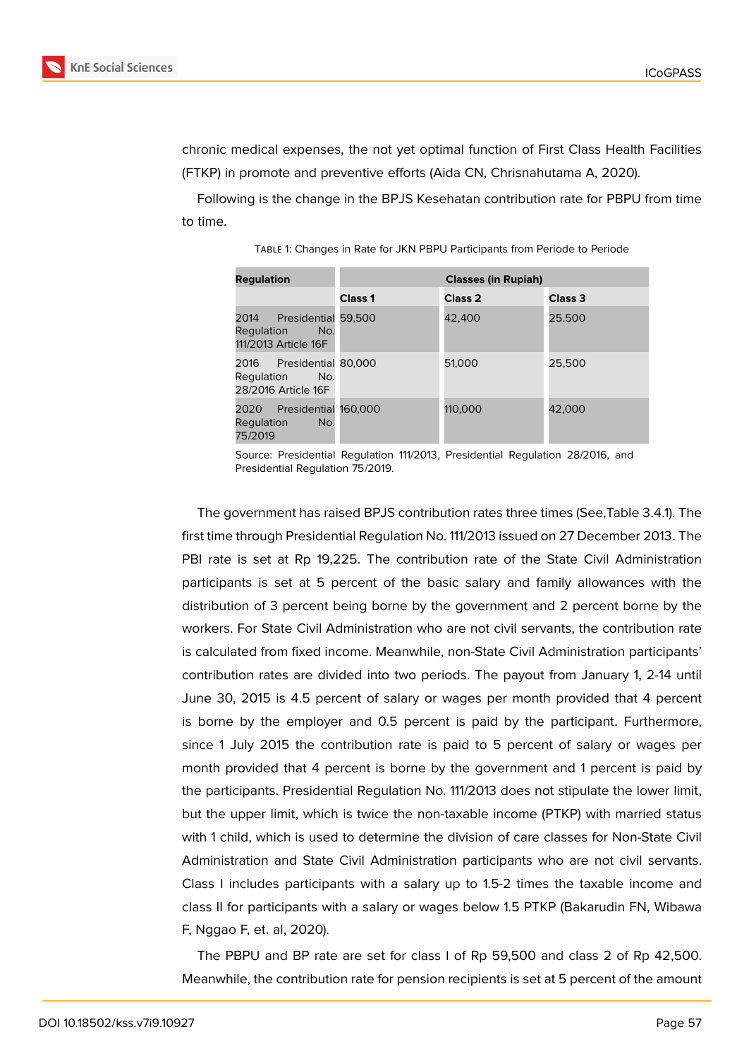

chronic medical expenses, the not yet optimal function of First Class Health Facilities (FTKP) in promote and preventive efforts (Aida CN, Chrisnahutama A, 2020).

Following is the change in the BPJS Kesehatan contribution rate for PBPU from time to time.

| <b>Regulation</b>                                                     | <b>Classes (in Rupiah)</b> |                    |                    |
|-----------------------------------------------------------------------|----------------------------|--------------------|--------------------|
|                                                                       | Class <sub>1</sub>         | Class <sub>2</sub> | Class <sub>3</sub> |
| 2014 Presidential 59,500<br>No.<br>Regulation<br>111/2013 Article 16F |                            | 42,400             | 25.500             |
| 2016 Presidential 80,000<br>No.<br>Regulation<br>28/2016 Article 16F  |                            | 51,000             | 25,500             |
| Presidential 160,000<br>2020<br>Regulation<br>No.<br>75/2019          |                            | 110,000            | 42.000             |

Table 1: Changes in Rate for JKN PBPU Participants from Periode to Periode

Source: Presidential Regulation 111/2013, Presidential Regulation 28/2016, and Presidential Regulation 75/2019.

The government has raised BPJS contribution rates three times (See,Table 3.4.1). The first time through Presidential Regulation No. 111/2013 issued on 27 December 2013. The PBI rate is set at Rp 19,225. The contribution rate of the State Civil Administration participants is set at 5 percent of the basic salary and family allowances with the distribution of 3 percent being borne by the government and 2 percent borne by the workers. For State Civil Administration who are not civil servants, the contribution rate is calculated from fixed income. Meanwhile, non-State Civil Administration participants' contribution rates are divided into two periods. The payout from January 1, 2-14 until June 30, 2015 is 4.5 percent of salary or wages per month provided that 4 percent is borne by the employer and 0.5 percent is paid by the participant. Furthermore, since 1 July 2015 the contribution rate is paid to 5 percent of salary or wages per month provided that 4 percent is borne by the government and 1 percent is paid by the participants. Presidential Regulation No. 111/2013 does not stipulate the lower limit, but the upper limit, which is twice the non-taxable income (PTKP) with married status with 1 child, which is used to determine the division of care classes for Non-State Civil Administration and State Civil Administration participants who are not civil servants. Class I includes participants with a salary up to 1.5-2 times the taxable income and class II for participants with a salary or wages below 1.5 PTKP (Bakarudin FN, Wibawa F, Nggao F, et. al, 2020).

The PBPU and BP rate are set for class I of Rp 59,500 and class 2 of Rp 42,500. Meanwhile, the contribution rate for pension recipients is set at 5 percent of the amount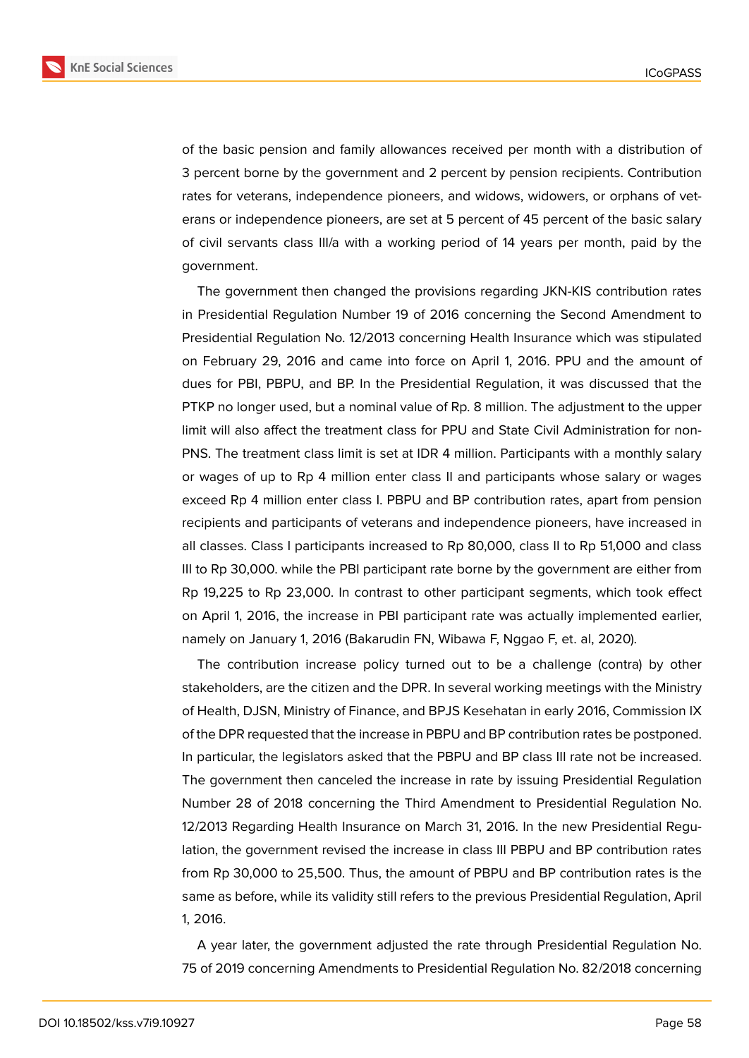

of the basic pension and family allowances received per month with a distribution of 3 percent borne by the government and 2 percent by pension recipients. Contribution rates for veterans, independence pioneers, and widows, widowers, or orphans of veterans or independence pioneers, are set at 5 percent of 45 percent of the basic salary of civil servants class III/a with a working period of 14 years per month, paid by the government.

The government then changed the provisions regarding JKN-KIS contribution rates in Presidential Regulation Number 19 of 2016 concerning the Second Amendment to Presidential Regulation No. 12/2013 concerning Health Insurance which was stipulated on February 29, 2016 and came into force on April 1, 2016. PPU and the amount of dues for PBI, PBPU, and BP. In the Presidential Regulation, it was discussed that the PTKP no longer used, but a nominal value of Rp. 8 million. The adjustment to the upper limit will also affect the treatment class for PPU and State Civil Administration for non-PNS. The treatment class limit is set at IDR 4 million. Participants with a monthly salary or wages of up to Rp 4 million enter class II and participants whose salary or wages exceed Rp 4 million enter class I. PBPU and BP contribution rates, apart from pension recipients and participants of veterans and independence pioneers, have increased in all classes. Class I participants increased to Rp 80,000, class II to Rp 51,000 and class III to Rp 30,000. while the PBI participant rate borne by the government are either from Rp 19,225 to Rp 23,000. In contrast to other participant segments, which took effect on April 1, 2016, the increase in PBI participant rate was actually implemented earlier, namely on January 1, 2016 (Bakarudin FN, Wibawa F, Nggao F, et. al, 2020).

The contribution increase policy turned out to be a challenge (contra) by other stakeholders, are the citizen and the DPR. In several working meetings with the Ministry of Health, DJSN, Ministry of Finance, and BPJS Kesehatan in early 2016, Commission IX of the DPR requested that the increase in PBPU and BP contribution rates be postponed. In particular, the legislators asked that the PBPU and BP class III rate not be increased. The government then canceled the increase in rate by issuing Presidential Regulation Number 28 of 2018 concerning the Third Amendment to Presidential Regulation No. 12/2013 Regarding Health Insurance on March 31, 2016. In the new Presidential Regulation, the government revised the increase in class III PBPU and BP contribution rates from Rp 30,000 to 25,500. Thus, the amount of PBPU and BP contribution rates is the same as before, while its validity still refers to the previous Presidential Regulation, April 1, 2016.

A year later, the government adjusted the rate through Presidential Regulation No. 75 of 2019 concerning Amendments to Presidential Regulation No. 82/2018 concerning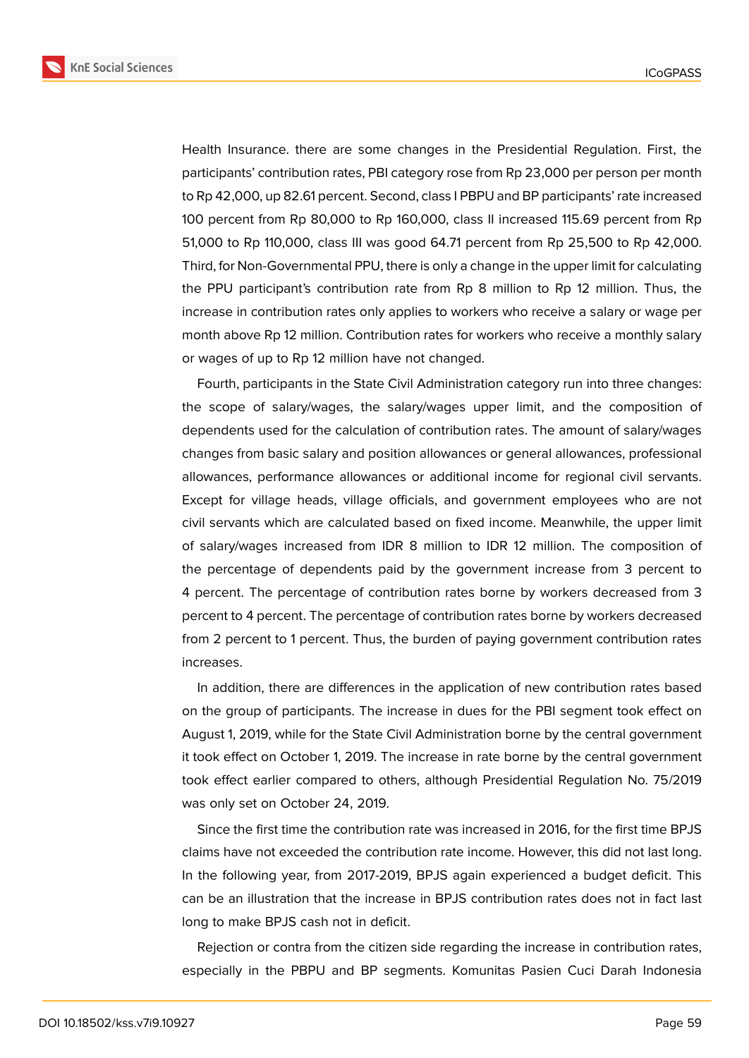

Health Insurance. there are some changes in the Presidential Regulation. First, the participants' contribution rates, PBI category rose from Rp 23,000 per person per month to Rp 42,000, up 82.61 percent. Second, class I PBPU and BP participants' rate increased 100 percent from Rp 80,000 to Rp 160,000, class II increased 115.69 percent from Rp 51,000 to Rp 110,000, class III was good 64.71 percent from Rp 25,500 to Rp 42,000. Third, for Non-Governmental PPU, there is only a change in the upper limit for calculating the PPU participant's contribution rate from Rp 8 million to Rp 12 million. Thus, the increase in contribution rates only applies to workers who receive a salary or wage per month above Rp 12 million. Contribution rates for workers who receive a monthly salary or wages of up to Rp 12 million have not changed.

Fourth, participants in the State Civil Administration category run into three changes: the scope of salary/wages, the salary/wages upper limit, and the composition of dependents used for the calculation of contribution rates. The amount of salary/wages changes from basic salary and position allowances or general allowances, professional allowances, performance allowances or additional income for regional civil servants. Except for village heads, village officials, and government employees who are not civil servants which are calculated based on fixed income. Meanwhile, the upper limit of salary/wages increased from IDR 8 million to IDR 12 million. The composition of the percentage of dependents paid by the government increase from 3 percent to 4 percent. The percentage of contribution rates borne by workers decreased from 3 percent to 4 percent. The percentage of contribution rates borne by workers decreased from 2 percent to 1 percent. Thus, the burden of paying government contribution rates increases.

In addition, there are differences in the application of new contribution rates based on the group of participants. The increase in dues for the PBI segment took effect on August 1, 2019, while for the State Civil Administration borne by the central government it took effect on October 1, 2019. The increase in rate borne by the central government took effect earlier compared to others, although Presidential Regulation No. 75/2019 was only set on October 24, 2019.

Since the first time the contribution rate was increased in 2016, for the first time BPJS claims have not exceeded the contribution rate income. However, this did not last long. In the following year, from 2017-2019, BPJS again experienced a budget deficit. This can be an illustration that the increase in BPJS contribution rates does not in fact last long to make BPJS cash not in deficit.

Rejection or contra from the citizen side regarding the increase in contribution rates, especially in the PBPU and BP segments. Komunitas Pasien Cuci Darah Indonesia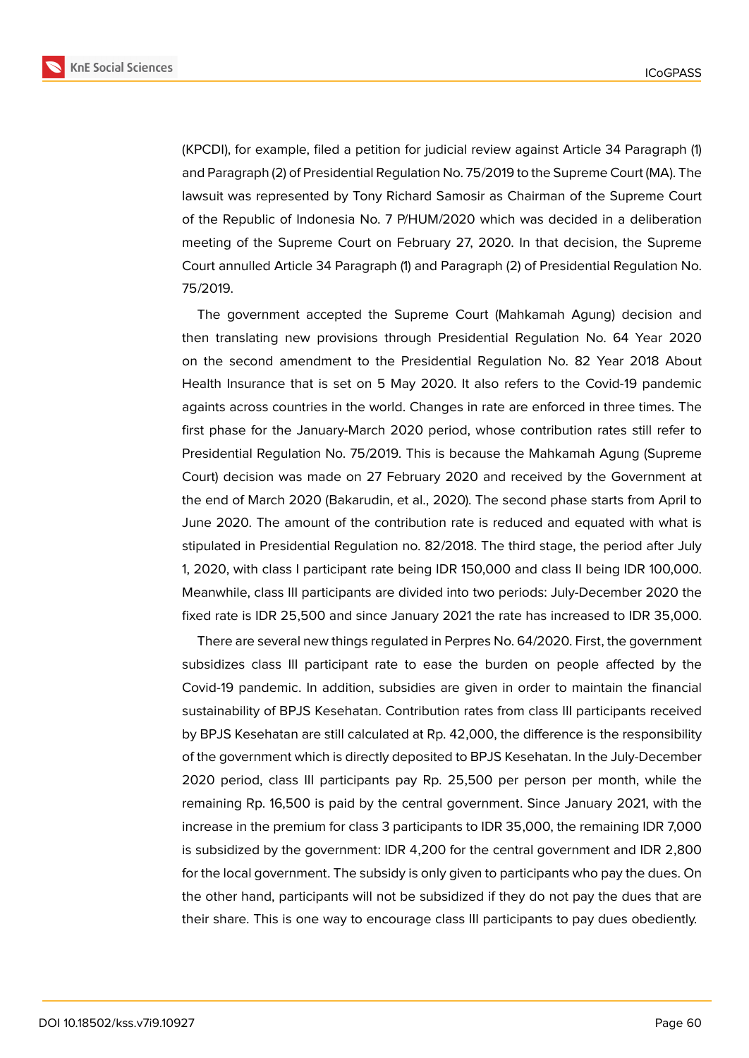

(KPCDI), for example, filed a petition for judicial review against Article 34 Paragraph (1) and Paragraph (2) of Presidential Regulation No. 75/2019 to the Supreme Court (MA). The lawsuit was represented by Tony Richard Samosir as Chairman of the Supreme Court of the Republic of Indonesia No. 7 P/HUM/2020 which was decided in a deliberation meeting of the Supreme Court on February 27, 2020. In that decision, the Supreme Court annulled Article 34 Paragraph (1) and Paragraph (2) of Presidential Regulation No. 75/2019.

The government accepted the Supreme Court (Mahkamah Agung) decision and then translating new provisions through Presidential Regulation No. 64 Year 2020 on the second amendment to the Presidential Regulation No. 82 Year 2018 About Health Insurance that is set on 5 May 2020. It also refers to the Covid-19 pandemic againts across countries in the world. Changes in rate are enforced in three times. The first phase for the January-March 2020 period, whose contribution rates still refer to Presidential Regulation No. 75/2019. This is because the Mahkamah Agung (Supreme Court) decision was made on 27 February 2020 and received by the Government at the end of March 2020 (Bakarudin, et al., 2020). The second phase starts from April to June 2020. The amount of the contribution rate is reduced and equated with what is stipulated in Presidential Regulation no. 82/2018. The third stage, the period after July 1, 2020, with class I participant rate being IDR 150,000 and class II being IDR 100,000. Meanwhile, class III participants are divided into two periods: July-December 2020 the fixed rate is IDR 25,500 and since January 2021 the rate has increased to IDR 35,000.

There are several new things regulated in Perpres No. 64/2020. First, the government subsidizes class III participant rate to ease the burden on people affected by the Covid-19 pandemic. In addition, subsidies are given in order to maintain the financial sustainability of BPJS Kesehatan. Contribution rates from class III participants received by BPJS Kesehatan are still calculated at Rp. 42,000, the difference is the responsibility of the government which is directly deposited to BPJS Kesehatan. In the July-December 2020 period, class III participants pay Rp. 25,500 per person per month, while the remaining Rp. 16,500 is paid by the central government. Since January 2021, with the increase in the premium for class 3 participants to IDR 35,000, the remaining IDR 7,000 is subsidized by the government: IDR 4,200 for the central government and IDR 2,800 for the local government. The subsidy is only given to participants who pay the dues. On the other hand, participants will not be subsidized if they do not pay the dues that are their share. This is one way to encourage class III participants to pay dues obediently.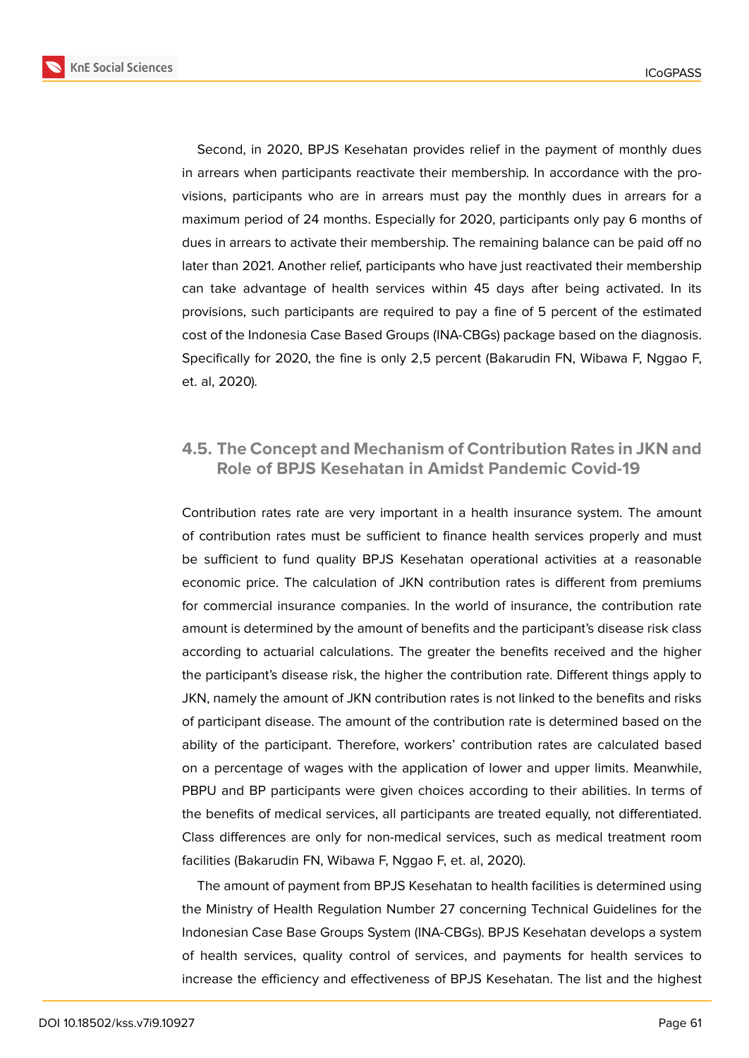

Second, in 2020, BPJS Kesehatan provides relief in the payment of monthly dues in arrears when participants reactivate their membership. In accordance with the provisions, participants who are in arrears must pay the monthly dues in arrears for a maximum period of 24 months. Especially for 2020, participants only pay 6 months of dues in arrears to activate their membership. The remaining balance can be paid off no later than 2021. Another relief, participants who have just reactivated their membership can take advantage of health services within 45 days after being activated. In its provisions, such participants are required to pay a fine of 5 percent of the estimated cost of the Indonesia Case Based Groups (INA-CBGs) package based on the diagnosis. Specifically for 2020, the fine is only 2,5 percent (Bakarudin FN, Wibawa F, Nggao F, et. al, 2020).

# **4.5. The Concept and Mechanism of Contribution Rates in JKN and Role of BPJS Kesehatan in Amidst Pandemic Covid-19**

Contribution rates rate are very important in a health insurance system. The amount of contribution rates must be sufficient to finance health services properly and must be sufficient to fund quality BPJS Kesehatan operational activities at a reasonable economic price. The calculation of JKN contribution rates is different from premiums for commercial insurance companies. In the world of insurance, the contribution rate amount is determined by the amount of benefits and the participant's disease risk class according to actuarial calculations. The greater the benefits received and the higher the participant's disease risk, the higher the contribution rate. Different things apply to JKN, namely the amount of JKN contribution rates is not linked to the benefits and risks of participant disease. The amount of the contribution rate is determined based on the ability of the participant. Therefore, workers' contribution rates are calculated based on a percentage of wages with the application of lower and upper limits. Meanwhile, PBPU and BP participants were given choices according to their abilities. In terms of the benefits of medical services, all participants are treated equally, not differentiated. Class differences are only for non-medical services, such as medical treatment room facilities (Bakarudin FN, Wibawa F, Nggao F, et. al, 2020).

The amount of payment from BPJS Kesehatan to health facilities is determined using the Ministry of Health Regulation Number 27 concerning Technical Guidelines for the Indonesian Case Base Groups System (INA-CBGs). BPJS Kesehatan develops a system of health services, quality control of services, and payments for health services to increase the efficiency and effectiveness of BPJS Kesehatan. The list and the highest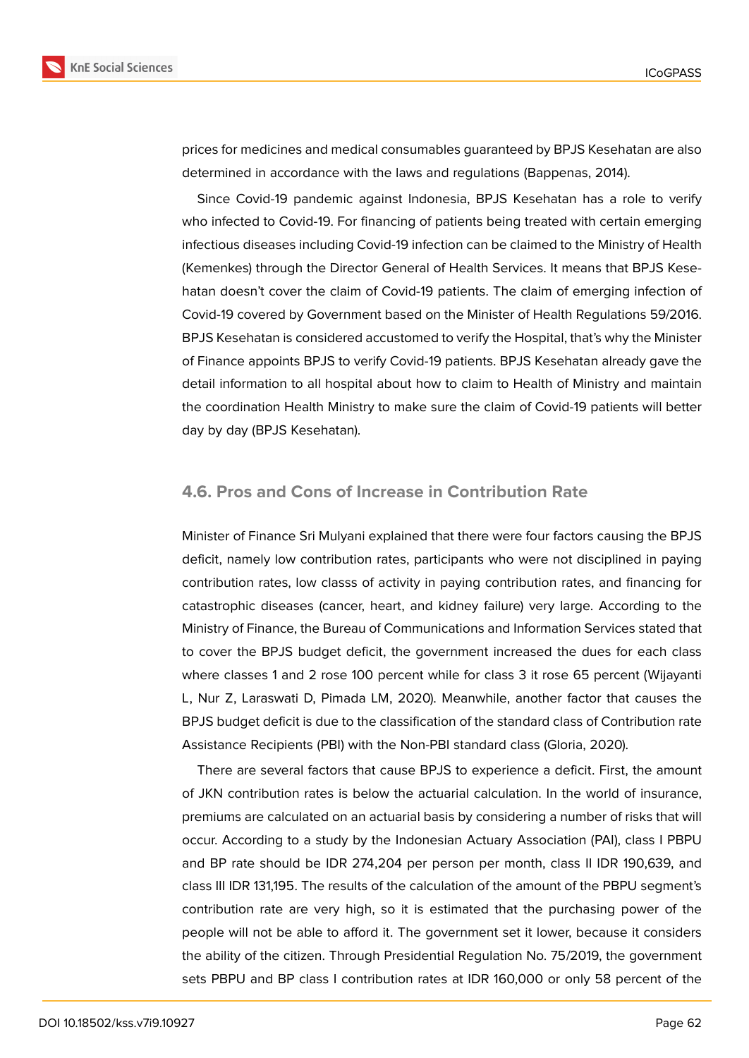

prices for medicines and medical consumables guaranteed by BPJS Kesehatan are also determined in accordance with the laws and regulations (Bappenas, 2014).

Since Covid-19 pandemic against Indonesia, BPJS Kesehatan has a role to verify who infected to Covid-19. For financing of patients being treated with certain emerging infectious diseases including Covid-19 infection can be claimed to the Ministry of Health (Kemenkes) through the Director General of Health Services. It means that BPJS Kesehatan doesn't cover the claim of Covid-19 patients. The claim of emerging infection of Covid-19 covered by Government based on the Minister of Health Regulations 59/2016. BPJS Kesehatan is considered accustomed to verify the Hospital, that's why the Minister of Finance appoints BPJS to verify Covid-19 patients. BPJS Kesehatan already gave the detail information to all hospital about how to claim to Health of Ministry and maintain the coordination Health Ministry to make sure the claim of Covid-19 patients will better day by day (BPJS Kesehatan).

#### **4.6. Pros and Cons of Increase in Contribution Rate**

Minister of Finance Sri Mulyani explained that there were four factors causing the BPJS deficit, namely low contribution rates, participants who were not disciplined in paying contribution rates, low classs of activity in paying contribution rates, and financing for catastrophic diseases (cancer, heart, and kidney failure) very large. According to the Ministry of Finance, the Bureau of Communications and Information Services stated that to cover the BPJS budget deficit, the government increased the dues for each class where classes 1 and 2 rose 100 percent while for class 3 it rose 65 percent (Wijayanti L, Nur Z, Laraswati D, Pimada LM, 2020). Meanwhile, another factor that causes the BPJS budget deficit is due to the classification of the standard class of Contribution rate Assistance Recipients (PBI) with the Non-PBI standard class (Gloria, 2020).

There are several factors that cause BPJS to experience a deficit. First, the amount of JKN contribution rates is below the actuarial calculation. In the world of insurance, premiums are calculated on an actuarial basis by considering a number of risks that will occur. According to a study by the Indonesian Actuary Association (PAI), class I PBPU and BP rate should be IDR 274,204 per person per month, class II IDR 190,639, and class III IDR 131,195. The results of the calculation of the amount of the PBPU segment's contribution rate are very high, so it is estimated that the purchasing power of the people will not be able to afford it. The government set it lower, because it considers the ability of the citizen. Through Presidential Regulation No. 75/2019, the government sets PBPU and BP class I contribution rates at IDR 160,000 or only 58 percent of the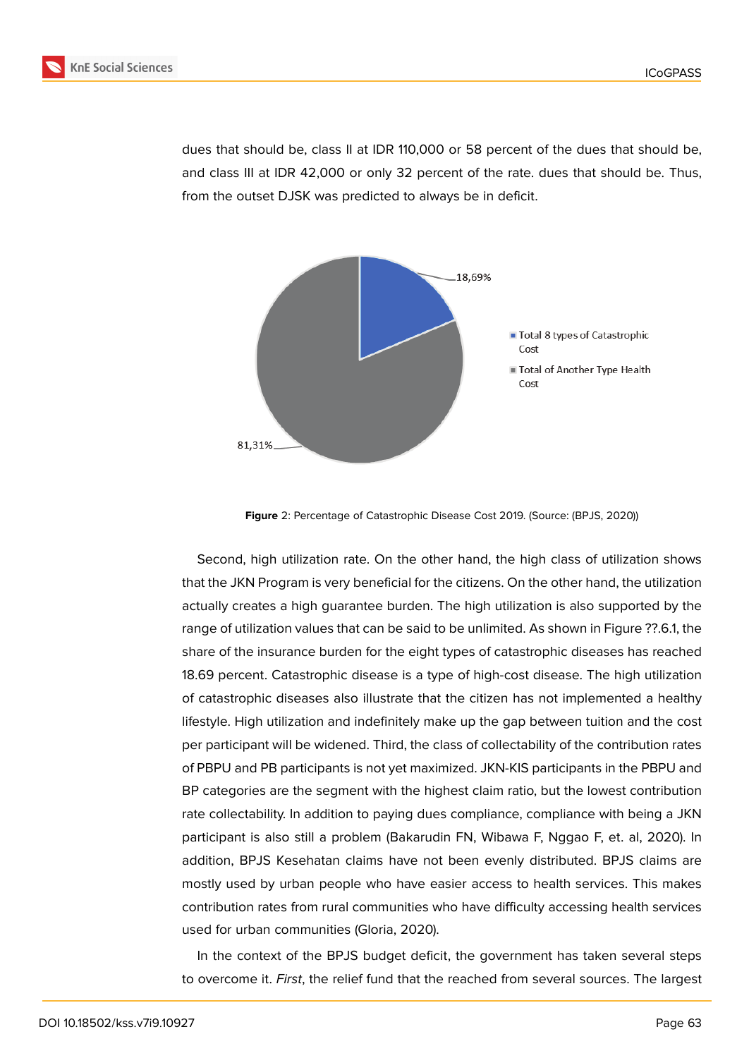

dues that should be, class II at IDR 110,000 or 58 percent of the dues that should be, and class III at IDR 42,000 or only 32 percent of the rate. dues that should be. Thus, from the outset DJSK was predicted to always be in deficit.



**Figure** 2: Percentage of Catastrophic Disease Cost 2019. (Source: (BPJS, 2020))

Second, high utilization rate. On the other hand, the high class of utilization shows that the JKN Program is very beneficial for the citizens. On the other hand, the utilization actually creates a high guarantee burden. The high utilization is also supported by the range of utilization values that can be said to be unlimited. As shown in Figure ??.6.1, the share of the insurance burden for the eight types of catastrophic diseases has reached 18.69 percent. Catastrophic disease is a type of high-cost disease. The high utilization of catastrophic diseases also illustrate that the citizen has not implemented a healthy lifestyle. High utilization and indefinitely make up the gap between tuition and the cost per participant will be widened. Third, the class of collectability of the contribution rates of PBPU and PB participants is not yet maximized. JKN-KIS participants in the PBPU and BP categories are the segment with the highest claim ratio, but the lowest contribution rate collectability. In addition to paying dues compliance, compliance with being a JKN participant is also still a problem (Bakarudin FN, Wibawa F, Nggao F, et. al, 2020). In addition, BPJS Kesehatan claims have not been evenly distributed. BPJS claims are mostly used by urban people who have easier access to health services. This makes contribution rates from rural communities who have difficulty accessing health services used for urban communities (Gloria, 2020).

In the context of the BPJS budget deficit, the government has taken several steps to overcome it. *First*, the relief fund that the reached from several sources. The largest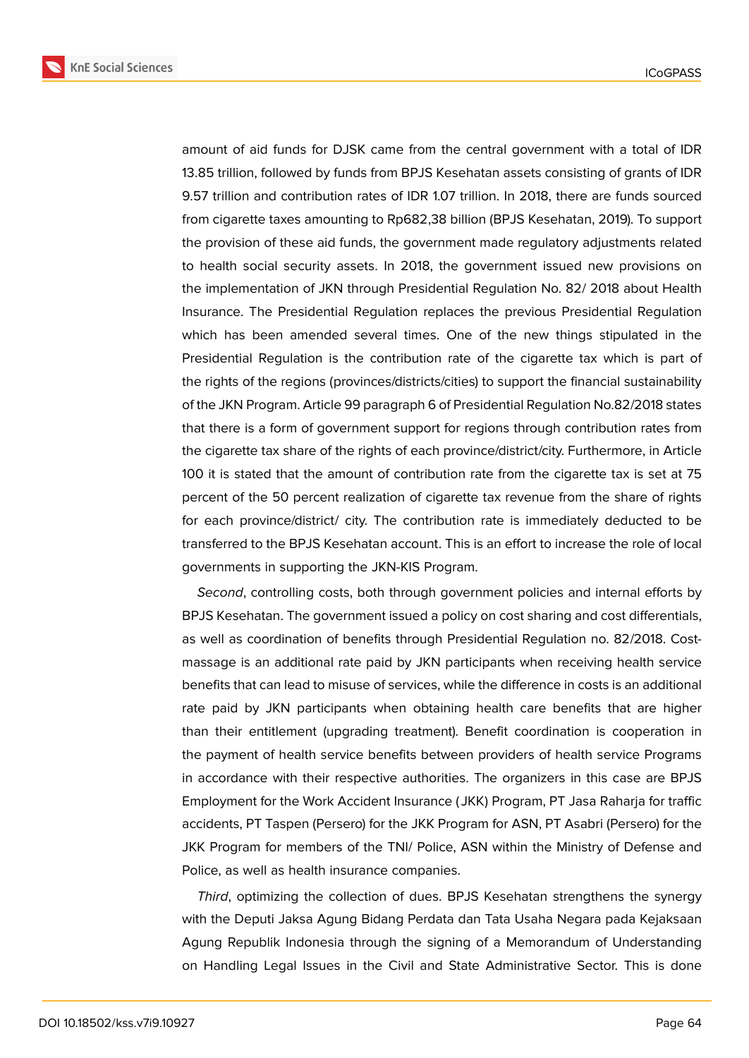

amount of aid funds for DJSK came from the central government with a total of IDR 13.85 trillion, followed by funds from BPJS Kesehatan assets consisting of grants of IDR 9.57 trillion and contribution rates of IDR 1.07 trillion. In 2018, there are funds sourced from cigarette taxes amounting to Rp682,38 billion (BPJS Kesehatan, 2019). To support the provision of these aid funds, the government made regulatory adjustments related to health social security assets. In 2018, the government issued new provisions on the implementation of JKN through Presidential Regulation No. 82/ 2018 about Health Insurance. The Presidential Regulation replaces the previous Presidential Regulation which has been amended several times. One of the new things stipulated in the Presidential Regulation is the contribution rate of the cigarette tax which is part of the rights of the regions (provinces/districts/cities) to support the financial sustainability of the JKN Program. Article 99 paragraph 6 of Presidential Regulation No.82/2018 states that there is a form of government support for regions through contribution rates from the cigarette tax share of the rights of each province/district/city. Furthermore, in Article 100 it is stated that the amount of contribution rate from the cigarette tax is set at 75 percent of the 50 percent realization of cigarette tax revenue from the share of rights for each province/district/ city. The contribution rate is immediately deducted to be transferred to the BPJS Kesehatan account. This is an effort to increase the role of local governments in supporting the JKN-KIS Program.

*Second*, controlling costs, both through government policies and internal efforts by BPJS Kesehatan. The government issued a policy on cost sharing and cost differentials, as well as coordination of benefits through Presidential Regulation no. 82/2018. Costmassage is an additional rate paid by JKN participants when receiving health service benefits that can lead to misuse of services, while the difference in costs is an additional rate paid by JKN participants when obtaining health care benefits that are higher than their entitlement (upgrading treatment). Benefit coordination is cooperation in the payment of health service benefits between providers of health service Programs in accordance with their respective authorities. The organizers in this case are BPJS Employment for the Work Accident Insurance ( JKK) Program, PT Jasa Raharja for traffic accidents, PT Taspen (Persero) for the JKK Program for ASN, PT Asabri (Persero) for the JKK Program for members of the TNI/ Police, ASN within the Ministry of Defense and Police, as well as health insurance companies.

*Third*, optimizing the collection of dues. BPJS Kesehatan strengthens the synergy with the Deputi Jaksa Agung Bidang Perdata dan Tata Usaha Negara pada Kejaksaan Agung Republik Indonesia through the signing of a Memorandum of Understanding on Handling Legal Issues in the Civil and State Administrative Sector. This is done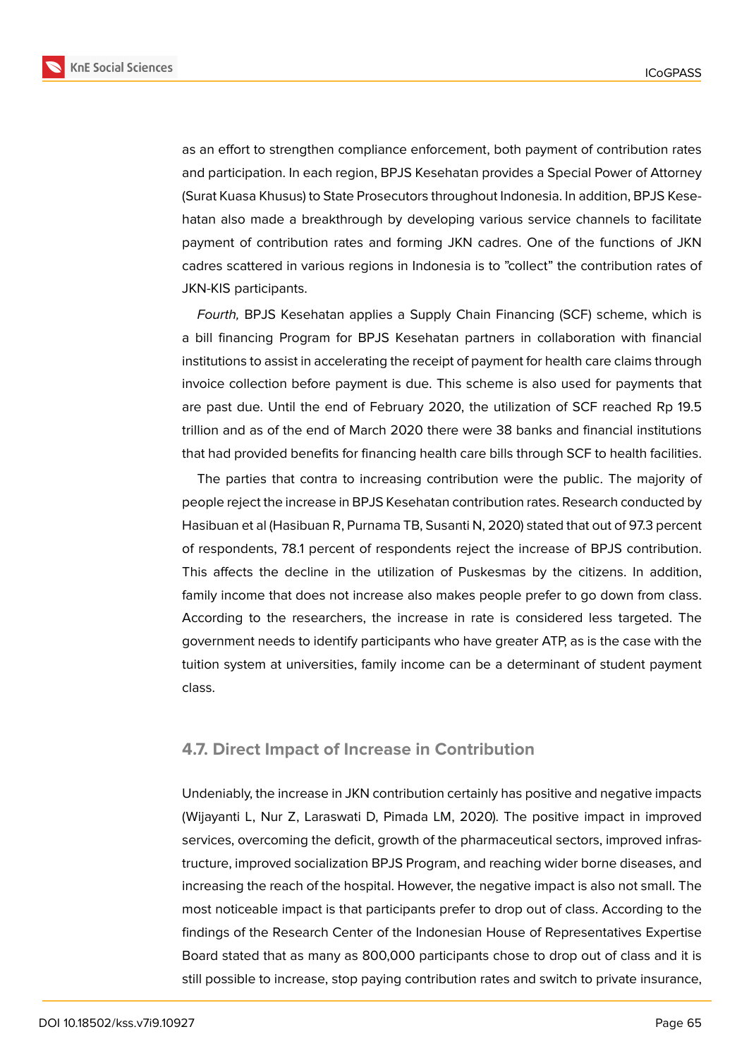

as an effort to strengthen compliance enforcement, both payment of contribution rates

and participation. In each region, BPJS Kesehatan provides a Special Power of Attorney (Surat Kuasa Khusus) to State Prosecutors throughout Indonesia. In addition, BPJS Kesehatan also made a breakthrough by developing various service channels to facilitate payment of contribution rates and forming JKN cadres. One of the functions of JKN cadres scattered in various regions in Indonesia is to "collect" the contribution rates of JKN-KIS participants.

*Fourth,* BPJS Kesehatan applies a Supply Chain Financing (SCF) scheme, which is a bill financing Program for BPJS Kesehatan partners in collaboration with financial institutions to assist in accelerating the receipt of payment for health care claims through invoice collection before payment is due. This scheme is also used for payments that are past due. Until the end of February 2020, the utilization of SCF reached Rp 19.5 trillion and as of the end of March 2020 there were 38 banks and financial institutions that had provided benefits for financing health care bills through SCF to health facilities.

The parties that contra to increasing contribution were the public. The majority of people reject the increase in BPJS Kesehatan contribution rates. Research conducted by Hasibuan et al (Hasibuan R, Purnama TB, Susanti N, 2020) stated that out of 97.3 percent of respondents, 78.1 percent of respondents reject the increase of BPJS contribution. This affects the decline in the utilization of Puskesmas by the citizens. In addition, family income that does not increase also makes people prefer to go down from class. According to the researchers, the increase in rate is considered less targeted. The government needs to identify participants who have greater ATP, as is the case with the tuition system at universities, family income can be a determinant of student payment class.

#### **4.7. Direct Impact of Increase in Contribution**

Undeniably, the increase in JKN contribution certainly has positive and negative impacts (Wijayanti L, Nur Z, Laraswati D, Pimada LM, 2020). The positive impact in improved services, overcoming the deficit, growth of the pharmaceutical sectors, improved infrastructure, improved socialization BPJS Program, and reaching wider borne diseases, and increasing the reach of the hospital. However, the negative impact is also not small. The most noticeable impact is that participants prefer to drop out of class. According to the findings of the Research Center of the Indonesian House of Representatives Expertise Board stated that as many as 800,000 participants chose to drop out of class and it is still possible to increase, stop paying contribution rates and switch to private insurance,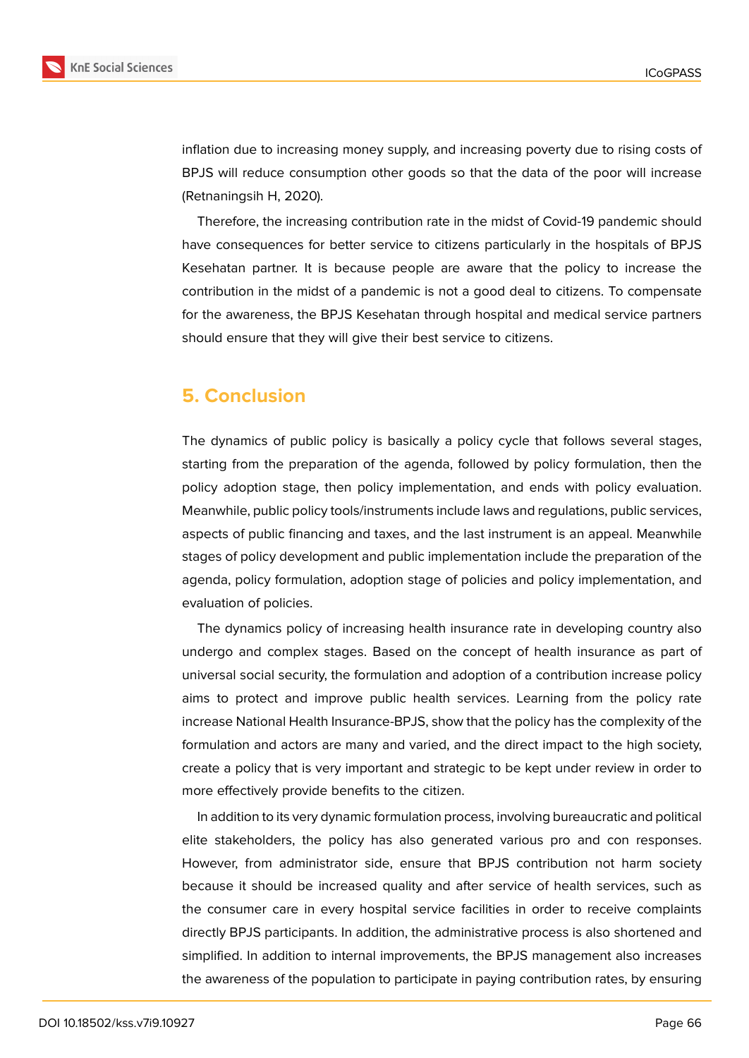

inflation due to increasing money supply, and increasing poverty due to rising costs of BPJS will reduce consumption other goods so that the data of the poor will increase (Retnaningsih H, 2020).

Therefore, the increasing contribution rate in the midst of Covid-19 pandemic should have consequences for better service to citizens particularly in the hospitals of BPJS Kesehatan partner. It is because people are aware that the policy to increase the contribution in the midst of a pandemic is not a good deal to citizens. To compensate for the awareness, the BPJS Kesehatan through hospital and medical service partners should ensure that they will give their best service to citizens.

# **5. Conclusion**

The dynamics of public policy is basically a policy cycle that follows several stages, starting from the preparation of the agenda, followed by policy formulation, then the policy adoption stage, then policy implementation, and ends with policy evaluation. Meanwhile, public policy tools/instruments include laws and regulations, public services, aspects of public financing and taxes, and the last instrument is an appeal. Meanwhile stages of policy development and public implementation include the preparation of the agenda, policy formulation, adoption stage of policies and policy implementation, and evaluation of policies.

The dynamics policy of increasing health insurance rate in developing country also undergo and complex stages. Based on the concept of health insurance as part of universal social security, the formulation and adoption of a contribution increase policy aims to protect and improve public health services. Learning from the policy rate increase National Health Insurance-BPJS, show that the policy has the complexity of the formulation and actors are many and varied, and the direct impact to the high society, create a policy that is very important and strategic to be kept under review in order to more effectively provide benefits to the citizen.

In addition to its very dynamic formulation process, involving bureaucratic and political elite stakeholders, the policy has also generated various pro and con responses. However, from administrator side, ensure that BPJS contribution not harm society because it should be increased quality and after service of health services, such as the consumer care in every hospital service facilities in order to receive complaints directly BPJS participants. In addition, the administrative process is also shortened and simplified. In addition to internal improvements, the BPJS management also increases the awareness of the population to participate in paying contribution rates, by ensuring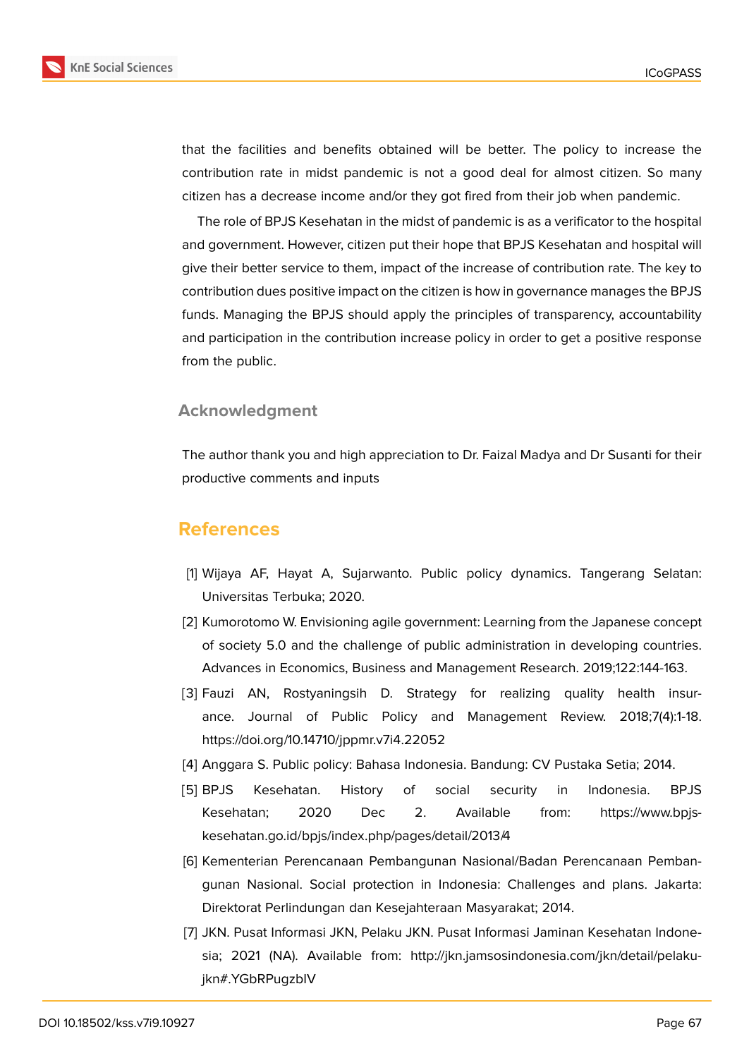

that the facilities and benefits obtained will be better. The policy to increase the contribution rate in midst pandemic is not a good deal for almost citizen. So many citizen has a decrease income and/or they got fired from their job when pandemic.

The role of BPJS Kesehatan in the midst of pandemic is as a verificator to the hospital and government. However, citizen put their hope that BPJS Kesehatan and hospital will give their better service to them, impact of the increase of contribution rate. The key to contribution dues positive impact on the citizen is how in governance manages the BPJS funds. Managing the BPJS should apply the principles of transparency, accountability and participation in the contribution increase policy in order to get a positive response from the public.

#### **Acknowledgment**

The author thank you and high appreciation to Dr. Faizal Madya and Dr Susanti for their productive comments and inputs

### **References**

- [1] Wijaya AF, Hayat A, Sujarwanto. Public policy dynamics. Tangerang Selatan: Universitas Terbuka; 2020.
- [2] Kumorotomo W. Envisioning agile government: Learning from the Japanese concept of society 5.0 and the challenge of public administration in developing countries. Advances in Economics, Business and Management Research. 2019;122:144-163.
- [3] Fauzi AN, Rostyaningsih D. Strategy for realizing quality health insurance. Journal of Public Policy and Management Review. 2018;7(4):1-18. https://doi.org/10.14710/jppmr.v7i4.22052
- [4] Anggara S. Public policy: Bahasa Indonesia. Bandung: CV Pustaka Setia; 2014.
- [5] BPJS Kesehatan. History of social security in Indonesia. BPJS Kesehatan; 2020 Dec 2. Available from: https://www.bpjskesehatan.go.id/bpjs/index.php/pages/detail/2013/4
- [6] Kementerian Perencanaan Pembangunan Nasional/Badan Perencanaan Pembangunan Nasional. Social protection in Indonesia: Challenges and plans. Jakarta: Direktorat Perlindungan dan Kesejahteraan Masyarakat; 2014.
- [7] JKN. Pusat Informasi JKN, Pelaku JKN. Pusat Informasi Jaminan Kesehatan Indonesia; 2021 (NA). Available from: http://jkn.jamsosindonesia.com/jkn/detail/pelakujkn#.YGbRPugzbIV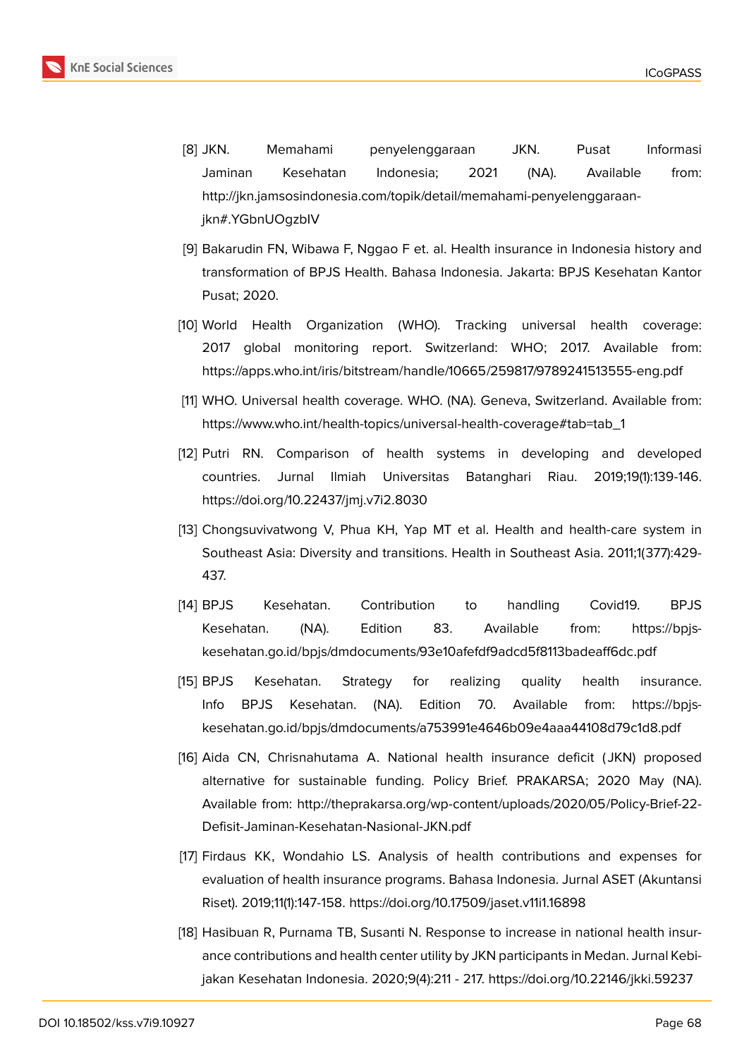

- [8] JKN. Memahami penyelenggaraan JKN. Pusat Informasi Jaminan Kesehatan Indonesia; 2021 (NA). Available from: http://jkn.jamsosindonesia.com/topik/detail/memahami-penyelenggaraanjkn#.YGbnUOgzbIV
- [9] Bakarudin FN, Wibawa F, Nggao F et. al. Health insurance in Indonesia history and transformation of BPJS Health. Bahasa Indonesia. Jakarta: BPJS Kesehatan Kantor Pusat; 2020.
- [10] World Health Organization (WHO). Tracking universal health coverage: 2017 global monitoring report. Switzerland: WHO; 2017. Available from: https://apps.who.int/iris/bitstream/handle/10665/259817/9789241513555-eng.pdf
- [11] WHO. Universal health coverage. WHO. (NA). Geneva, Switzerland. Available from: https://www.who.int/health-topics/universal-health-coverage#tab=tab\_1
- [12] Putri RN. Comparison of health systems in developing and developed countries. Jurnal Ilmiah Universitas Batanghari Riau. 2019;19(1):139-146. https://doi.org/10.22437/jmj.v7i2.8030
- [13] Chongsuvivatwong V, Phua KH, Yap MT et al. Health and health-care system in Southeast Asia: Diversity and transitions. Health in Southeast Asia. 2011;1(377):429- 437.
- [14] BPJS Kesehatan. Contribution to handling Covid19. BPJS Kesehatan. (NA). Edition 83. Available from: https://bpjskesehatan.go.id/bpjs/dmdocuments/93e10afefdf9adcd5f8113badeaff6dc.pdf
- [15] BPJS Kesehatan. Strategy for realizing quality health insurance. Info BPJS Kesehatan. (NA). Edition 70. Available from: https://bpjskesehatan.go.id/bpjs/dmdocuments/a753991e4646b09e4aaa44108d79c1d8.pdf
- [16] Aida CN, Chrisnahutama A. National health insurance deficit ( JKN) proposed alternative for sustainable funding. Policy Brief. PRAKARSA; 2020 May (NA). Available from: http://theprakarsa.org/wp-content/uploads/2020/05/Policy-Brief-22- Defisit-Jaminan-Kesehatan-Nasional-JKN.pdf
- [17] Firdaus KK, Wondahio LS. Analysis of health contributions and expenses for evaluation of health insurance programs. Bahasa Indonesia. Jurnal ASET (Akuntansi Riset). 2019;11(1):147-158. https://doi.org/10.17509/jaset.v11i1.16898
- [18] Hasibuan R, Purnama TB, Susanti N. Response to increase in national health insurance contributions and health center utility by JKN participants in Medan. Jurnal Kebijakan Kesehatan Indonesia. 2020;9(4):211 - 217. https://doi.org/10.22146/jkki.59237